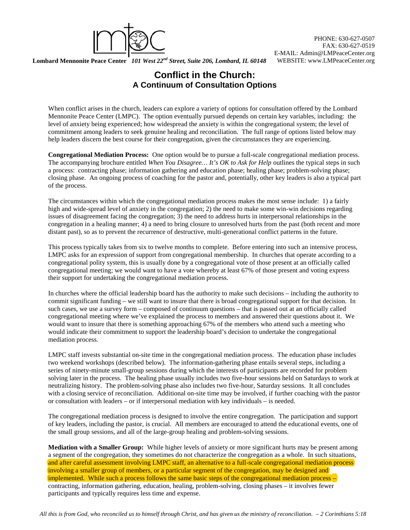

PHONE: 630-627-0507 FAX: 630-627-0519 E-MAIL: Admin@LMPeaceCenter.org

## Lombard Mennonite Peace Center *101 West 22<sup>nd</sup> Street, Suite 206, Lombard, IL 60148* WEBSITE: www.LMPeaceCenter.org

## **Conflict in the Church: A Continuum of Consultation Options**

When conflict arises in the church, leaders can explore a variety of options for consultation offered by the Lombard Mennonite Peace Center (LMPC). The option eventually pursued depends on certain key variables, including: the level of anxiety being experienced; how widespread the anxiety is within the congregational system; the level of commitment among leaders to seek genuine healing and reconciliation. The full range of options listed below may help leaders discern the best course for their congregation, given the circumstances they are experiencing.

**Congregational Mediation Process:** One option would be to pursue a full-scale congregational mediation process. The accompanying brochure entitled *When You Disagree... It's OK to Ask for Help* outlines the typical steps in such a process: contracting phase; information gathering and education phase; healing phase; problem-solving phase; closing phase. An ongoing process of coaching for the pastor and, potentially, other key leaders is also a typical part of the process.

The circumstances within which the congregational mediation process makes the most sense include: 1) a fairly high and wide-spread level of anxiety in the congregation; 2) the need to make some win-win decisions regarding issues of disagreement facing the congregation; 3) the need to address hurts in interpersonal relationships in the congregation in a healing manner; 4) a need to bring closure to unresolved hurts from the past (both recent and more distant past), so as to prevent the recurrence of destructive, multi-generational conflict patterns in the future.

This process typically takes from six to twelve months to complete. Before entering into such an intensive process, LMPC asks for an expression of support from congregational membership. In churches that operate according to a congregational polity system, this is usually done by a congregational vote of those present at an officially called congregational meeting; we would want to have a vote whereby at least 67% of those present and voting express their support for undertaking the congregational mediation process.

In churches where the official leadership board has the authority to make such decisions – including the authority to commit significant funding – we still want to insure that there is broad congregational support for that decision. In such cases, we use a survey form – composed of continuum questions – that is passed out at an officially called congregational meeting where we've explained the process to members and answered their questions about it. We would want to insure that there is something approaching 67% of the members who attend such a meeting who would indicate their commitment to support the leadership board's decision to undertake the congregational mediation process.

LMPC staff invests substantial on-site time in the congregational mediation process. The education phase includes two weekend workshops (described below). The information-gathering phase entails several steps, including a series of ninety-minute small-group sessions during which the interests of participants are recorded for problem solving later in the process. The healing phase usually includes two five-hour sessions held on Saturdays to work at neutralizing history. The problem-solving phase also includes two five-hour, Saturday sessions. It all concludes with a closing service of reconciliation. Additional on-site time may be involved, if further coaching with the pastor or consultation with leaders – or if interpersonal mediation with key individuals – is needed.

The congregational mediation process is designed to involve the entire congregation. The participation and support of key leaders, including the pastor, is crucial. All members are encouraged to attend the educational events, one of the small group sessions, and all of the large-group healing and problem-solving sessions.

**Mediation with a Smaller Group:** While higher levels of anxiety or more significant hurts may be present among a segment of the congregation, they sometimes do not characterize the congregation as a whole. In such situations, and after careful assessment involving LMPC staff, an alternative to a full-scale congregational mediation process involving a smaller group of members, or a particular segment of the congregation, may be designed and implemented. While such a process follows the same basic steps of the congregational mediation process – contracting, information gathering, education, healing, problem-solving, closing phases – it involves fewer participants and typically requires less time and expense.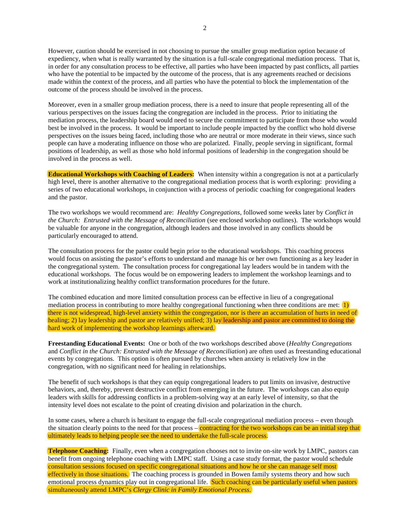However, caution should be exercised in not choosing to pursue the smaller group mediation option because of expediency, when what is really warranted by the situation is a full-scale congregational mediation process. That is, in order for any consultation process to be effective, all parties who have been impacted by past conflicts, all parties who have the potential to be impacted by the outcome of the process, that is any agreements reached or decisions made within the context of the process, and all parties who have the potential to block the implementation of the outcome of the process should be involved in the process.

Moreover, even in a smaller group mediation process, there is a need to insure that people representing all of the various perspectives on the issues facing the congregation are included in the process. Prior to initiating the mediation process, the leadership board would need to secure the commitment to participate from those who would best be involved in the process. It would be important to include people impacted by the conflict who hold diverse perspectives on the issues being faced, including those who are neutral or more moderate in their views, since such people can have a moderating influence on those who are polarized. Finally, people serving in significant, formal positions of leadership, as well as those who hold informal positions of leadership in the congregation should be involved in the process as well.

**Educational Workshops with Coaching of Leaders:** When intensity within a congregation is not at a particularly high level, there is another alternative to the congregational mediation process that is worth exploring: providing a series of two educational workshops, in conjunction with a process of periodic coaching for congregational leaders and the pastor.

The two workshops we would recommend are: *Healthy Congregations*, followed some weeks later by *Conflict in the Church: Entrusted with the Message of Reconciliation* (see enclosed workshop outlines). The workshops would be valuable for anyone in the congregation, although leaders and those involved in any conflicts should be particularly encouraged to attend.

The consultation process for the pastor could begin prior to the educational workshops. This coaching process would focus on assisting the pastor's efforts to understand and manage his or her own functioning as a key leader in the congregational system. The consultation process for congregational lay leaders would be in tandem with the educational workshops. The focus would be on empowering leaders to implement the workshop learnings and to work at institutionalizing healthy conflict transformation procedures for the future.

The combined education and more limited consultation process can be effective in lieu of a congregational mediation process in contributing to more healthy congregational functioning when three conditions are met:  $\overline{1}$ ) there is not widespread, high-level anxiety within the congregation, nor is there an accumulation of hurts in need of healing; 2) lay leadership and pastor are relatively unified; 3) lay leadership and pastor are committed to doing the hard work of implementing the workshop learnings afterward.

**Freestanding Educational Events:** One or both of the two workshops described above (*Healthy Congregations* and *Conflict in the Church: Entrusted with the Message of Reconciliation*) are often used as freestanding educational events by congregations. This option is often pursued by churches when anxiety is relatively low in the congregation, with no significant need for healing in relationships.

The benefit of such workshops is that they can equip congregational leaders to put limits on invasive, destructive behaviors, and, thereby, prevent destructive conflict from emerging in the future. The workshops can also equip leaders with skills for addressing conflicts in a problem-solving way at an early level of intensity, so that the intensity level does not escalate to the point of creating division and polarization in the church.

In some cases, where a church is hesitant to engage the full-scale congregational mediation process – even though the situation clearly points to the need for that process  $-\frac{1}{\text{contracting}}$  for the two workshops can be an initial step that ultimately leads to helping people see the need to undertake the full-scale process.

**Telephone Coaching:** Finally, even when a congregation chooses not to invite on-site work by LMPC, pastors can benefit from ongoing telephone coaching with LMPC staff. Using a case study format, the pastor would schedule consultation sessions focused on specific congregational situations and how he or she can manage self most effectively in those situations. The coaching process is grounded in Bowen family systems theory and how such emotional process dynamics play out in congregational life. Such coaching can be particularly useful when pastors simultaneously attend LMPC's *Clergy Clinic in Family Emotional Process*.